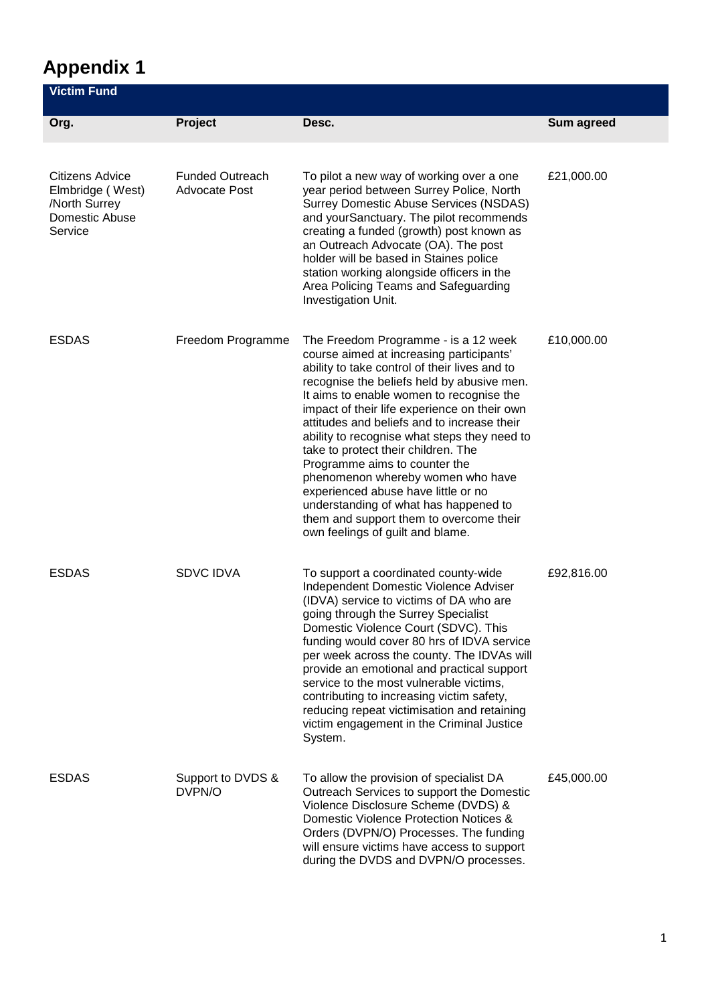## **Appendix 1**

| Victim Fund                                                                       |                                                |                                                                                                                                                                                                                                                                                                                                                                                                                                                                                                                                                                                                                                                        |            |
|-----------------------------------------------------------------------------------|------------------------------------------------|--------------------------------------------------------------------------------------------------------------------------------------------------------------------------------------------------------------------------------------------------------------------------------------------------------------------------------------------------------------------------------------------------------------------------------------------------------------------------------------------------------------------------------------------------------------------------------------------------------------------------------------------------------|------------|
| Org.                                                                              | Project                                        | Desc.                                                                                                                                                                                                                                                                                                                                                                                                                                                                                                                                                                                                                                                  | Sum agreed |
| Citizens Advice<br>Elmbridge (West)<br>/North Surrey<br>Domestic Abuse<br>Service | <b>Funded Outreach</b><br><b>Advocate Post</b> | To pilot a new way of working over a one<br>year period between Surrey Police, North<br><b>Surrey Domestic Abuse Services (NSDAS)</b><br>and yourSanctuary. The pilot recommends<br>creating a funded (growth) post known as<br>an Outreach Advocate (OA). The post<br>holder will be based in Staines police<br>station working alongside officers in the<br>Area Policing Teams and Safeguarding<br>Investigation Unit.                                                                                                                                                                                                                              | £21,000.00 |
| <b>ESDAS</b>                                                                      | Freedom Programme                              | The Freedom Programme - is a 12 week<br>course aimed at increasing participants'<br>ability to take control of their lives and to<br>recognise the beliefs held by abusive men.<br>It aims to enable women to recognise the<br>impact of their life experience on their own<br>attitudes and beliefs and to increase their<br>ability to recognise what steps they need to<br>take to protect their children. The<br>Programme aims to counter the<br>phenomenon whereby women who have<br>experienced abuse have little or no<br>understanding of what has happened to<br>them and support them to overcome their<br>own feelings of guilt and blame. | £10,000.00 |
| <b>ESDAS</b>                                                                      | <b>SDVC IDVA</b>                               | To support a coordinated county-wide<br>Independent Domestic Violence Adviser<br>(IDVA) service to victims of DA who are<br>going through the Surrey Specialist<br>Domestic Violence Court (SDVC). This<br>funding would cover 80 hrs of IDVA service<br>per week across the county. The IDVAs will<br>provide an emotional and practical support<br>service to the most vulnerable victims,<br>contributing to increasing victim safety,<br>reducing repeat victimisation and retaining<br>victim engagement in the Criminal Justice<br>System.                                                                                                       | £92,816.00 |
| <b>ESDAS</b>                                                                      | Support to DVDS &<br>DVPN/O                    | To allow the provision of specialist DA<br>Outreach Services to support the Domestic<br>Violence Disclosure Scheme (DVDS) &<br>Domestic Violence Protection Notices &<br>Orders (DVPN/O) Processes. The funding<br>will ensure victims have access to support<br>during the DVDS and DVPN/O processes.                                                                                                                                                                                                                                                                                                                                                 | £45,000.00 |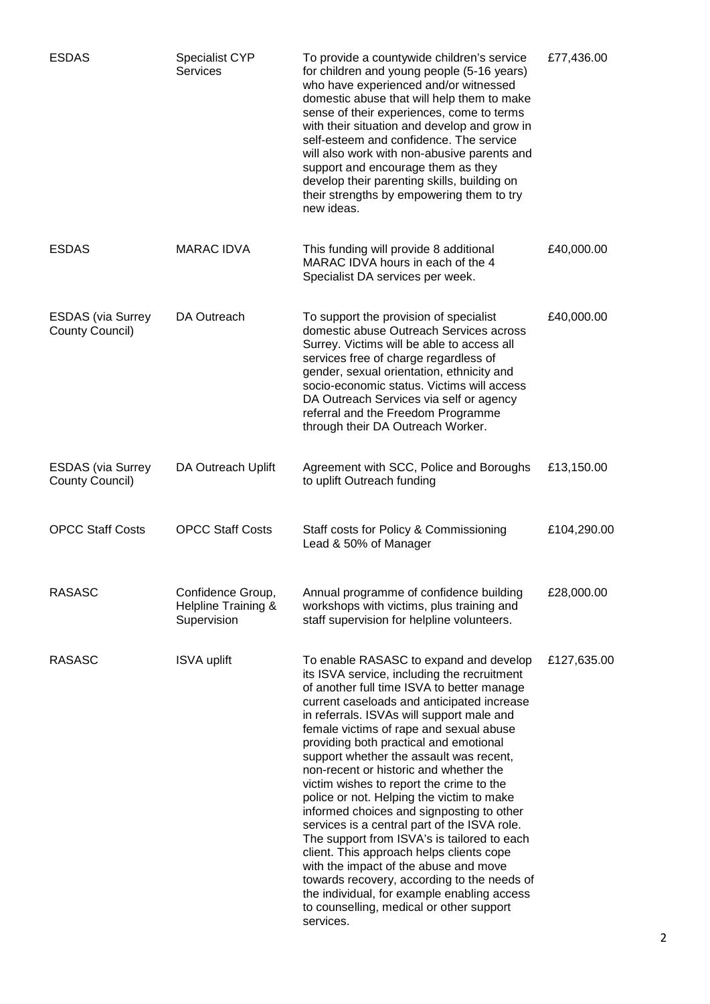| <b>ESDAS</b>                                | Specialist CYP<br><b>Services</b>                       | To provide a countywide children's service<br>for children and young people (5-16 years)<br>who have experienced and/or witnessed<br>domestic abuse that will help them to make<br>sense of their experiences, come to terms<br>with their situation and develop and grow in<br>self-esteem and confidence. The service<br>will also work with non-abusive parents and<br>support and encourage them as they<br>develop their parenting skills, building on<br>their strengths by empowering them to try<br>new ideas.                                                                                                                                                                                                                                                                                                                                                                    | £77,436.00  |
|---------------------------------------------|---------------------------------------------------------|-------------------------------------------------------------------------------------------------------------------------------------------------------------------------------------------------------------------------------------------------------------------------------------------------------------------------------------------------------------------------------------------------------------------------------------------------------------------------------------------------------------------------------------------------------------------------------------------------------------------------------------------------------------------------------------------------------------------------------------------------------------------------------------------------------------------------------------------------------------------------------------------|-------------|
| <b>ESDAS</b>                                | <b>MARAC IDVA</b>                                       | This funding will provide 8 additional<br>MARAC IDVA hours in each of the 4<br>Specialist DA services per week.                                                                                                                                                                                                                                                                                                                                                                                                                                                                                                                                                                                                                                                                                                                                                                           | £40,000.00  |
| <b>ESDAS</b> (via Surrey<br>County Council) | DA Outreach                                             | To support the provision of specialist<br>domestic abuse Outreach Services across<br>Surrey. Victims will be able to access all<br>services free of charge regardless of<br>gender, sexual orientation, ethnicity and<br>socio-economic status. Victims will access<br>DA Outreach Services via self or agency<br>referral and the Freedom Programme<br>through their DA Outreach Worker.                                                                                                                                                                                                                                                                                                                                                                                                                                                                                                 | £40,000.00  |
| <b>ESDAS</b> (via Surrey<br>County Council) | DA Outreach Uplift                                      | Agreement with SCC, Police and Boroughs<br>to uplift Outreach funding                                                                                                                                                                                                                                                                                                                                                                                                                                                                                                                                                                                                                                                                                                                                                                                                                     | £13,150.00  |
| <b>OPCC Staff Costs</b>                     | <b>OPCC Staff Costs</b>                                 | Staff costs for Policy & Commissioning<br>Lead & 50% of Manager                                                                                                                                                                                                                                                                                                                                                                                                                                                                                                                                                                                                                                                                                                                                                                                                                           | £104,290.00 |
| <b>RASASC</b>                               | Confidence Group,<br>Helpline Training &<br>Supervision | Annual programme of confidence building<br>workshops with victims, plus training and<br>staff supervision for helpline volunteers.                                                                                                                                                                                                                                                                                                                                                                                                                                                                                                                                                                                                                                                                                                                                                        | £28,000.00  |
| <b>RASASC</b>                               | <b>ISVA uplift</b>                                      | To enable RASASC to expand and develop<br>its ISVA service, including the recruitment<br>of another full time ISVA to better manage<br>current caseloads and anticipated increase<br>in referrals. ISVAs will support male and<br>female victims of rape and sexual abuse<br>providing both practical and emotional<br>support whether the assault was recent,<br>non-recent or historic and whether the<br>victim wishes to report the crime to the<br>police or not. Helping the victim to make<br>informed choices and signposting to other<br>services is a central part of the ISVA role.<br>The support from ISVA's is tailored to each<br>client. This approach helps clients cope<br>with the impact of the abuse and move<br>towards recovery, according to the needs of<br>the individual, for example enabling access<br>to counselling, medical or other support<br>services. | £127,635.00 |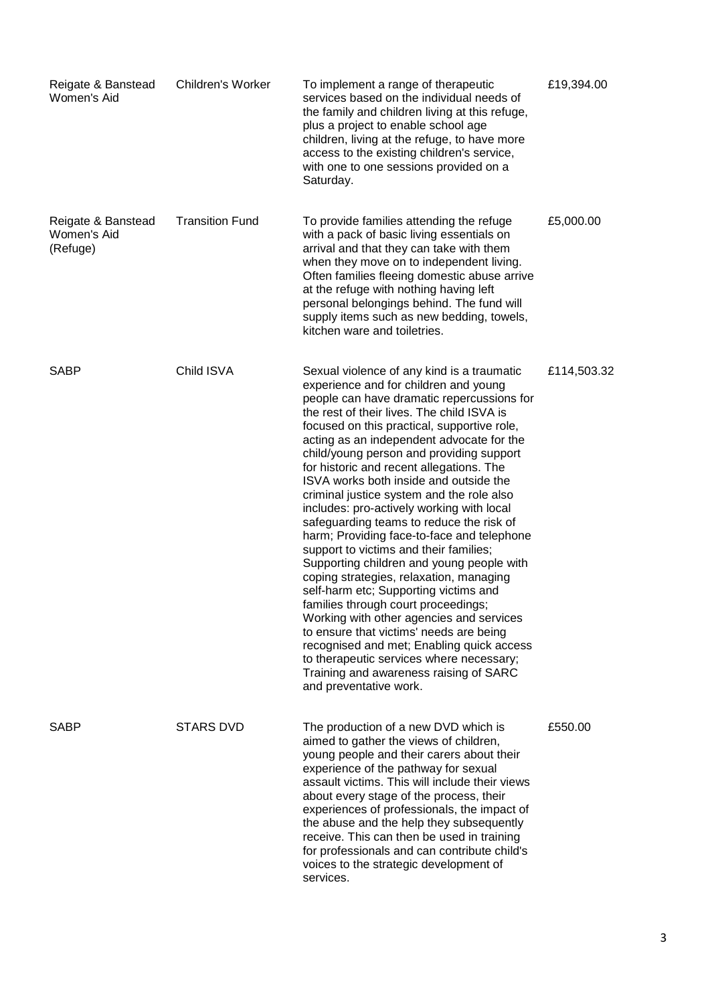| Reigate & Banstead<br>Women's Aid             | Children's Worker      | To implement a range of therapeutic<br>services based on the individual needs of<br>the family and children living at this refuge,<br>plus a project to enable school age<br>children, living at the refuge, to have more<br>access to the existing children's service,<br>with one to one sessions provided on a<br>Saturday.                                                                                                                                                                                                                                                                                                                                                                                                                                                                                                                                                                                                                                                                                                                                          | £19,394.00  |
|-----------------------------------------------|------------------------|-------------------------------------------------------------------------------------------------------------------------------------------------------------------------------------------------------------------------------------------------------------------------------------------------------------------------------------------------------------------------------------------------------------------------------------------------------------------------------------------------------------------------------------------------------------------------------------------------------------------------------------------------------------------------------------------------------------------------------------------------------------------------------------------------------------------------------------------------------------------------------------------------------------------------------------------------------------------------------------------------------------------------------------------------------------------------|-------------|
| Reigate & Banstead<br>Women's Aid<br>(Refuge) | <b>Transition Fund</b> | To provide families attending the refuge<br>with a pack of basic living essentials on<br>arrival and that they can take with them<br>when they move on to independent living.<br>Often families fleeing domestic abuse arrive<br>at the refuge with nothing having left<br>personal belongings behind. The fund will<br>supply items such as new bedding, towels,<br>kitchen ware and toiletries.                                                                                                                                                                                                                                                                                                                                                                                                                                                                                                                                                                                                                                                                       | £5,000.00   |
| <b>SABP</b>                                   | Child ISVA             | Sexual violence of any kind is a traumatic<br>experience and for children and young<br>people can have dramatic repercussions for<br>the rest of their lives. The child ISVA is<br>focused on this practical, supportive role,<br>acting as an independent advocate for the<br>child/young person and providing support<br>for historic and recent allegations. The<br>ISVA works both inside and outside the<br>criminal justice system and the role also<br>includes: pro-actively working with local<br>safeguarding teams to reduce the risk of<br>harm; Providing face-to-face and telephone<br>support to victims and their families;<br>Supporting children and young people with<br>coping strategies, relaxation, managing<br>self-harm etc; Supporting victims and<br>families through court proceedings;<br>Working with other agencies and services<br>to ensure that victims' needs are being<br>recognised and met; Enabling quick access<br>to therapeutic services where necessary;<br>Training and awareness raising of SARC<br>and preventative work. | £114,503.32 |
| <b>SABP</b>                                   | <b>STARS DVD</b>       | The production of a new DVD which is<br>aimed to gather the views of children,<br>young people and their carers about their<br>experience of the pathway for sexual<br>assault victims. This will include their views<br>about every stage of the process, their<br>experiences of professionals, the impact of<br>the abuse and the help they subsequently<br>receive. This can then be used in training<br>for professionals and can contribute child's<br>voices to the strategic development of<br>services.                                                                                                                                                                                                                                                                                                                                                                                                                                                                                                                                                        | £550.00     |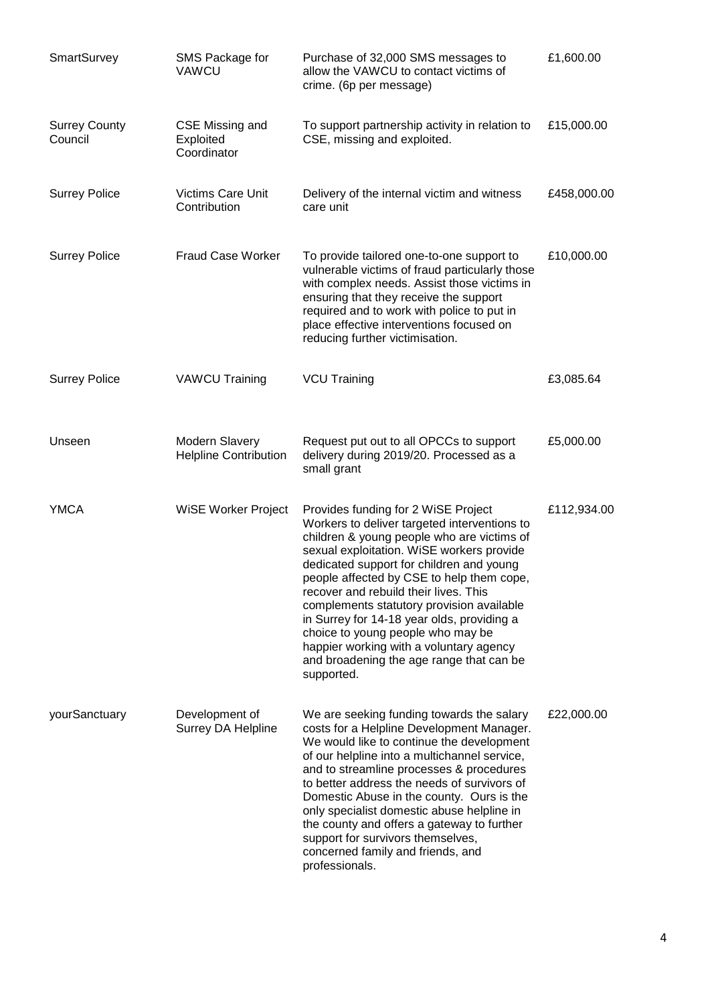| SmartSurvey                     | SMS Package for<br>VAWCU                       | Purchase of 32,000 SMS messages to<br>allow the VAWCU to contact victims of<br>crime. (6p per message)                                                                                                                                                                                                                                                                                                                                                                                                                                                | £1,600.00   |
|---------------------------------|------------------------------------------------|-------------------------------------------------------------------------------------------------------------------------------------------------------------------------------------------------------------------------------------------------------------------------------------------------------------------------------------------------------------------------------------------------------------------------------------------------------------------------------------------------------------------------------------------------------|-------------|
| <b>Surrey County</b><br>Council | CSE Missing and<br>Exploited<br>Coordinator    | To support partnership activity in relation to<br>CSE, missing and exploited.                                                                                                                                                                                                                                                                                                                                                                                                                                                                         | £15,000.00  |
| <b>Surrey Police</b>            | Victims Care Unit<br>Contribution              | Delivery of the internal victim and witness<br>care unit                                                                                                                                                                                                                                                                                                                                                                                                                                                                                              | £458,000.00 |
| <b>Surrey Police</b>            | <b>Fraud Case Worker</b>                       | To provide tailored one-to-one support to<br>vulnerable victims of fraud particularly those<br>with complex needs. Assist those victims in<br>ensuring that they receive the support<br>required and to work with police to put in<br>place effective interventions focused on<br>reducing further victimisation.                                                                                                                                                                                                                                     | £10,000.00  |
| <b>Surrey Police</b>            | <b>VAWCU Training</b>                          | <b>VCU Training</b>                                                                                                                                                                                                                                                                                                                                                                                                                                                                                                                                   | £3,085.64   |
| Unseen                          | Modern Slavery<br><b>Helpline Contribution</b> | Request put out to all OPCCs to support<br>delivery during 2019/20. Processed as a<br>small grant                                                                                                                                                                                                                                                                                                                                                                                                                                                     | £5,000.00   |
| <b>YMCA</b>                     | WiSE Worker Project                            | Provides funding for 2 WiSE Project<br>Workers to deliver targeted interventions to<br>children & young people who are victims of<br>sexual exploitation. WiSE workers provide<br>dedicated support for children and young<br>people affected by CSE to help them cope,<br>recover and rebuild their lives. This<br>complements statutory provision available<br>in Surrey for 14-18 year olds, providing a<br>choice to young people who may be<br>happier working with a voluntary agency<br>and broadening the age range that can be<br>supported. | £112,934.00 |
| yourSanctuary                   | Development of<br>Surrey DA Helpline           | We are seeking funding towards the salary<br>costs for a Helpline Development Manager.<br>We would like to continue the development<br>of our helpline into a multichannel service,<br>and to streamline processes & procedures<br>to better address the needs of survivors of<br>Domestic Abuse in the county. Ours is the<br>only specialist domestic abuse helpline in<br>the county and offers a gateway to further<br>support for survivors themselves,<br>concerned family and friends, and<br>professionals.                                   | £22,000.00  |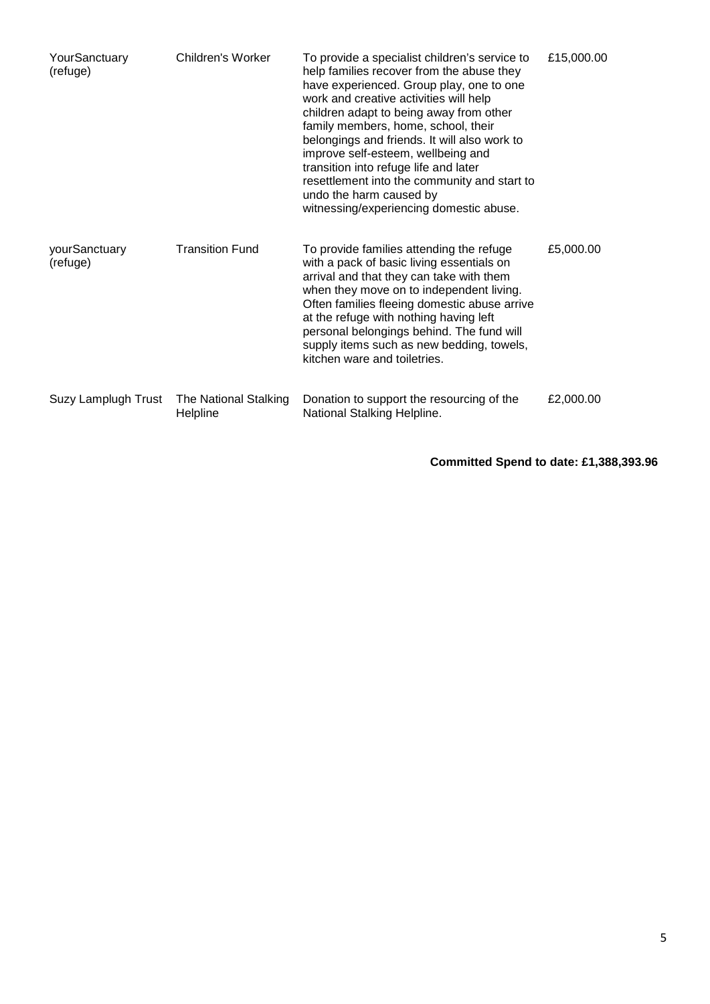| YourSanctuary<br>(refuge) | Children's Worker                 | To provide a specialist children's service to<br>help families recover from the abuse they<br>have experienced. Group play, one to one<br>work and creative activities will help<br>children adapt to being away from other<br>family members, home, school, their<br>belongings and friends. It will also work to<br>improve self-esteem, wellbeing and<br>transition into refuge life and later<br>resettlement into the community and start to<br>undo the harm caused by<br>witnessing/experiencing domestic abuse. | £15,000.00 |
|---------------------------|-----------------------------------|-------------------------------------------------------------------------------------------------------------------------------------------------------------------------------------------------------------------------------------------------------------------------------------------------------------------------------------------------------------------------------------------------------------------------------------------------------------------------------------------------------------------------|------------|
| yourSanctuary<br>(refuge) | <b>Transition Fund</b>            | To provide families attending the refuge<br>with a pack of basic living essentials on<br>arrival and that they can take with them<br>when they move on to independent living.<br>Often families fleeing domestic abuse arrive<br>at the refuge with nothing having left<br>personal belongings behind. The fund will<br>supply items such as new bedding, towels,<br>kitchen ware and toiletries.                                                                                                                       | £5,000.00  |
| Suzy Lamplugh Trust       | The National Stalking<br>Helpline | Donation to support the resourcing of the<br>National Stalking Helpline.                                                                                                                                                                                                                                                                                                                                                                                                                                                | £2,000.00  |

**Committed Spend to date: £1,388,393.96**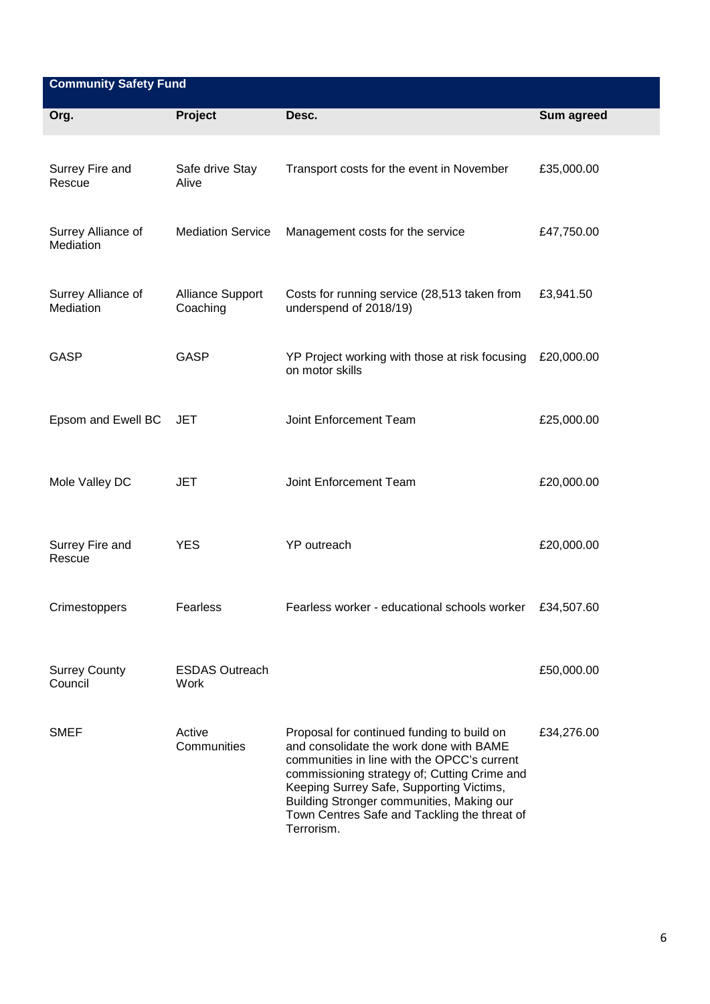| <b>Community Safety Fund</b>    |                                     |                                                                                                                                                                                                                                                                                                                                             |            |  |
|---------------------------------|-------------------------------------|---------------------------------------------------------------------------------------------------------------------------------------------------------------------------------------------------------------------------------------------------------------------------------------------------------------------------------------------|------------|--|
| Org.                            | Project                             | Desc.                                                                                                                                                                                                                                                                                                                                       | Sum agreed |  |
| Surrey Fire and<br>Rescue       | Safe drive Stay<br>Alive            | Transport costs for the event in November                                                                                                                                                                                                                                                                                                   | £35,000.00 |  |
| Surrey Alliance of<br>Mediation | <b>Mediation Service</b>            | Management costs for the service                                                                                                                                                                                                                                                                                                            | £47,750.00 |  |
| Surrey Alliance of<br>Mediation | <b>Alliance Support</b><br>Coaching | Costs for running service (28,513 taken from<br>underspend of 2018/19)                                                                                                                                                                                                                                                                      | £3,941.50  |  |
| <b>GASP</b>                     | GASP                                | YP Project working with those at risk focusing<br>on motor skills                                                                                                                                                                                                                                                                           | £20,000.00 |  |
| Epsom and Ewell BC              | JET                                 | Joint Enforcement Team                                                                                                                                                                                                                                                                                                                      | £25,000.00 |  |
| Mole Valley DC                  | JET                                 | Joint Enforcement Team                                                                                                                                                                                                                                                                                                                      | £20,000.00 |  |
| Surrey Fire and<br>Rescue       | <b>YES</b>                          | YP outreach                                                                                                                                                                                                                                                                                                                                 | £20,000.00 |  |
| Crimestoppers                   | Fearless                            | Fearless worker - educational schools worker                                                                                                                                                                                                                                                                                                | £34,507.60 |  |
| <b>Surrey County</b><br>Council | <b>ESDAS Outreach</b><br>Work       |                                                                                                                                                                                                                                                                                                                                             | £50,000.00 |  |
| <b>SMEF</b>                     | Active<br>Communities               | Proposal for continued funding to build on<br>and consolidate the work done with BAME<br>communities in line with the OPCC's current<br>commissioning strategy of; Cutting Crime and<br>Keeping Surrey Safe, Supporting Victims,<br>Building Stronger communities, Making our<br>Town Centres Safe and Tackling the threat of<br>Terrorism. | £34,276.00 |  |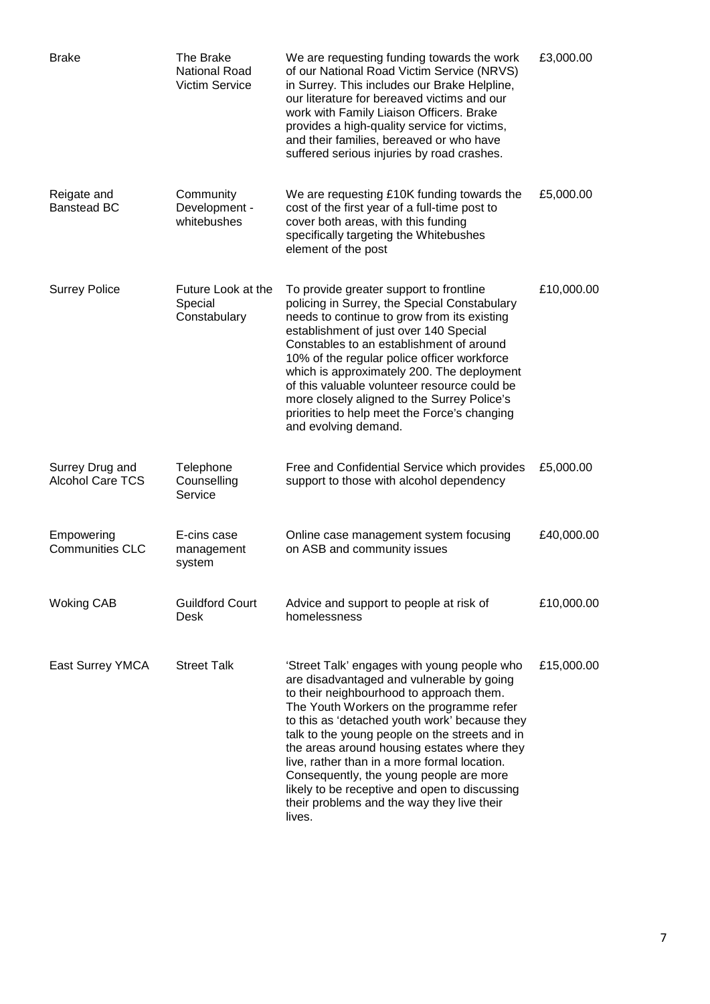| <b>Brake</b>                               | The Brake<br><b>National Road</b><br><b>Victim Service</b> | We are requesting funding towards the work<br>of our National Road Victim Service (NRVS)<br>in Surrey. This includes our Brake Helpline,<br>our literature for bereaved victims and our<br>work with Family Liaison Officers. Brake<br>provides a high-quality service for victims,<br>and their families, bereaved or who have<br>suffered serious injuries by road crashes.                                                                                                                                                          | £3,000.00  |
|--------------------------------------------|------------------------------------------------------------|----------------------------------------------------------------------------------------------------------------------------------------------------------------------------------------------------------------------------------------------------------------------------------------------------------------------------------------------------------------------------------------------------------------------------------------------------------------------------------------------------------------------------------------|------------|
| Reigate and<br><b>Banstead BC</b>          | Community<br>Development -<br>whitebushes                  | We are requesting £10K funding towards the<br>cost of the first year of a full-time post to<br>cover both areas, with this funding<br>specifically targeting the Whitebushes<br>element of the post                                                                                                                                                                                                                                                                                                                                    | £5,000.00  |
| <b>Surrey Police</b>                       | Future Look at the<br>Special<br>Constabulary              | To provide greater support to frontline<br>policing in Surrey, the Special Constabulary<br>needs to continue to grow from its existing<br>establishment of just over 140 Special<br>Constables to an establishment of around<br>10% of the regular police officer workforce<br>which is approximately 200. The deployment<br>of this valuable volunteer resource could be<br>more closely aligned to the Surrey Police's<br>priorities to help meet the Force's changing<br>and evolving demand.                                       | £10,000.00 |
| Surrey Drug and<br><b>Alcohol Care TCS</b> | Telephone<br>Counselling<br>Service                        | Free and Confidential Service which provides<br>support to those with alcohol dependency                                                                                                                                                                                                                                                                                                                                                                                                                                               | £5,000.00  |
| Empowering<br><b>Communities CLC</b>       | E-cins case<br>management<br>system                        | Online case management system focusing<br>on ASB and community issues                                                                                                                                                                                                                                                                                                                                                                                                                                                                  | £40,000.00 |
| <b>Woking CAB</b>                          | <b>Guildford Court</b><br>Desk                             | Advice and support to people at risk of<br>homelessness                                                                                                                                                                                                                                                                                                                                                                                                                                                                                | £10,000.00 |
| East Surrey YMCA                           | <b>Street Talk</b>                                         | 'Street Talk' engages with young people who<br>are disadvantaged and vulnerable by going<br>to their neighbourhood to approach them.<br>The Youth Workers on the programme refer<br>to this as 'detached youth work' because they<br>talk to the young people on the streets and in<br>the areas around housing estates where they<br>live, rather than in a more formal location.<br>Consequently, the young people are more<br>likely to be receptive and open to discussing<br>their problems and the way they live their<br>lives. | £15,000.00 |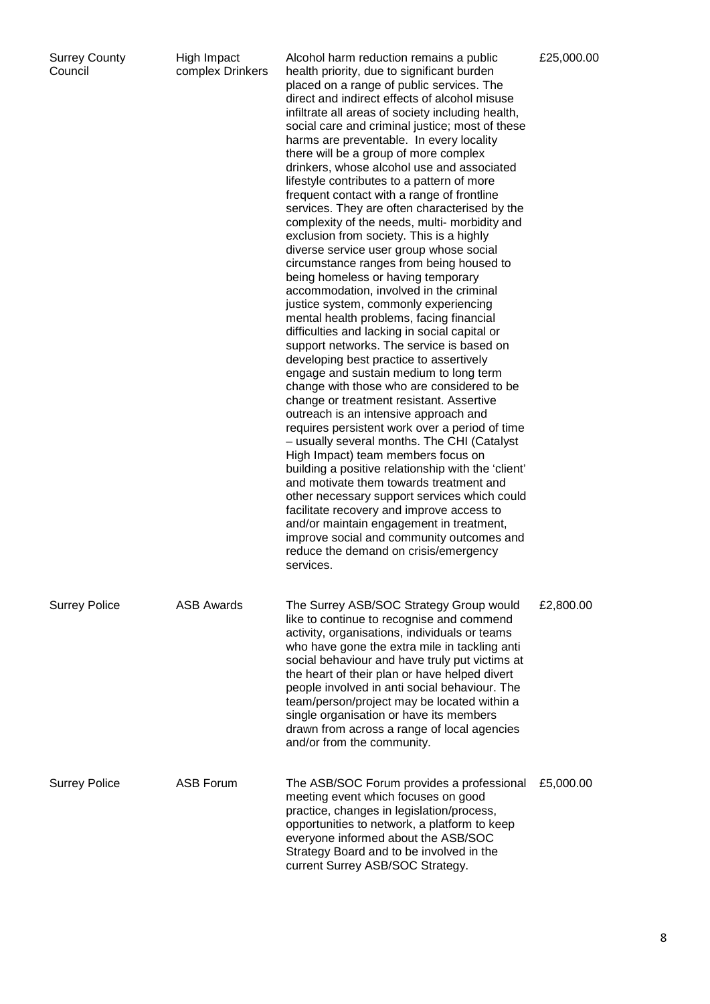| <b>Surrey County</b><br>Council | High Impact<br>complex Drinkers | Alcohol harm reduction remains a public<br>health priority, due to significant burden<br>placed on a range of public services. The<br>direct and indirect effects of alcohol misuse<br>infiltrate all areas of society including health,<br>social care and criminal justice; most of these<br>harms are preventable. In every locality<br>there will be a group of more complex<br>drinkers, whose alcohol use and associated<br>lifestyle contributes to a pattern of more<br>frequent contact with a range of frontline<br>services. They are often characterised by the<br>complexity of the needs, multi- morbidity and<br>exclusion from society. This is a highly<br>diverse service user group whose social<br>circumstance ranges from being housed to<br>being homeless or having temporary<br>accommodation, involved in the criminal<br>justice system, commonly experiencing<br>mental health problems, facing financial<br>difficulties and lacking in social capital or<br>support networks. The service is based on<br>developing best practice to assertively<br>engage and sustain medium to long term<br>change with those who are considered to be<br>change or treatment resistant. Assertive<br>outreach is an intensive approach and<br>requires persistent work over a period of time<br>- usually several months. The CHI (Catalyst<br>High Impact) team members focus on<br>building a positive relationship with the 'client'<br>and motivate them towards treatment and<br>other necessary support services which could<br>facilitate recovery and improve access to<br>and/or maintain engagement in treatment,<br>improve social and community outcomes and<br>reduce the demand on crisis/emergency<br>services. | £25,000.00 |
|---------------------------------|---------------------------------|-------------------------------------------------------------------------------------------------------------------------------------------------------------------------------------------------------------------------------------------------------------------------------------------------------------------------------------------------------------------------------------------------------------------------------------------------------------------------------------------------------------------------------------------------------------------------------------------------------------------------------------------------------------------------------------------------------------------------------------------------------------------------------------------------------------------------------------------------------------------------------------------------------------------------------------------------------------------------------------------------------------------------------------------------------------------------------------------------------------------------------------------------------------------------------------------------------------------------------------------------------------------------------------------------------------------------------------------------------------------------------------------------------------------------------------------------------------------------------------------------------------------------------------------------------------------------------------------------------------------------------------------------------------------------------------------------------------------------------------------------|------------|
| <b>Surrey Police</b>            | <b>ASB Awards</b>               | The Surrey ASB/SOC Strategy Group would<br>like to continue to recognise and commend<br>activity, organisations, individuals or teams<br>who have gone the extra mile in tackling anti<br>social behaviour and have truly put victims at<br>the heart of their plan or have helped divert<br>people involved in anti social behaviour. The<br>team/person/project may be located within a<br>single organisation or have its members<br>drawn from across a range of local agencies<br>and/or from the community.                                                                                                                                                                                                                                                                                                                                                                                                                                                                                                                                                                                                                                                                                                                                                                                                                                                                                                                                                                                                                                                                                                                                                                                                                               | £2,800.00  |
| <b>Surrey Police</b>            | <b>ASB Forum</b>                | The ASB/SOC Forum provides a professional<br>meeting event which focuses on good<br>practice, changes in legislation/process,<br>opportunities to network, a platform to keep<br>everyone informed about the ASB/SOC<br>Strategy Board and to be involved in the<br>current Surrey ASB/SOC Strategy.                                                                                                                                                                                                                                                                                                                                                                                                                                                                                                                                                                                                                                                                                                                                                                                                                                                                                                                                                                                                                                                                                                                                                                                                                                                                                                                                                                                                                                            | £5,000.00  |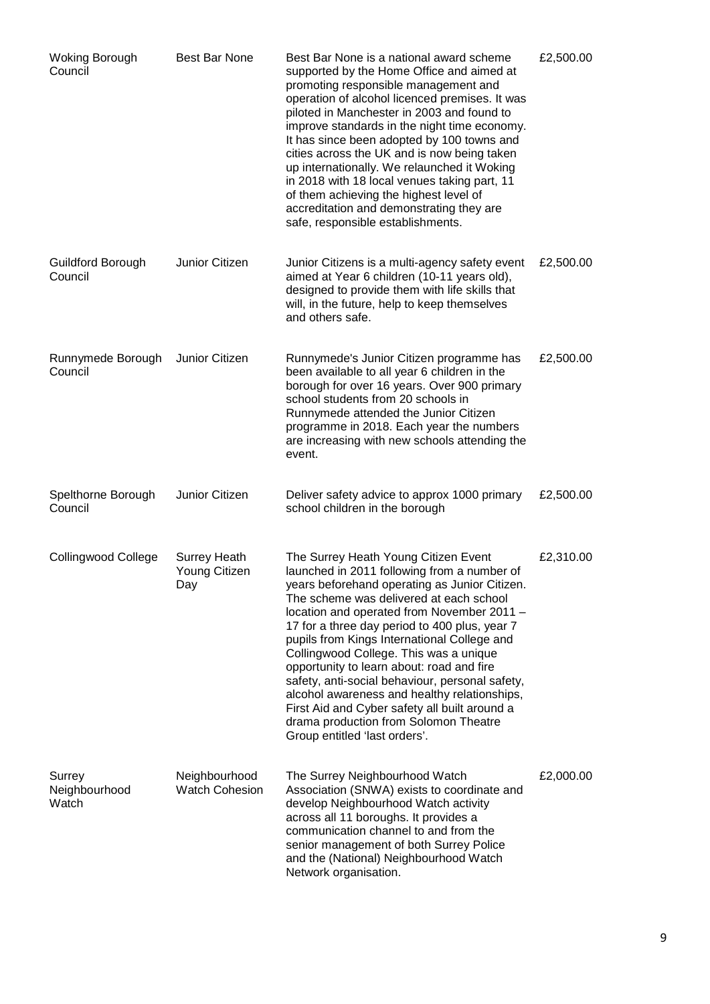| <b>Woking Borough</b><br>Council | Best Bar None                               | Best Bar None is a national award scheme<br>supported by the Home Office and aimed at<br>promoting responsible management and<br>operation of alcohol licenced premises. It was<br>piloted in Manchester in 2003 and found to<br>improve standards in the night time economy.<br>It has since been adopted by 100 towns and<br>cities across the UK and is now being taken<br>up internationally. We relaunched it Woking<br>in 2018 with 18 local venues taking part, 11<br>of them achieving the highest level of<br>accreditation and demonstrating they are<br>safe, responsible establishments.                                               | £2,500.00 |
|----------------------------------|---------------------------------------------|----------------------------------------------------------------------------------------------------------------------------------------------------------------------------------------------------------------------------------------------------------------------------------------------------------------------------------------------------------------------------------------------------------------------------------------------------------------------------------------------------------------------------------------------------------------------------------------------------------------------------------------------------|-----------|
| Guildford Borough<br>Council     | Junior Citizen                              | Junior Citizens is a multi-agency safety event<br>aimed at Year 6 children (10-11 years old),<br>designed to provide them with life skills that<br>will, in the future, help to keep themselves<br>and others safe.                                                                                                                                                                                                                                                                                                                                                                                                                                | £2,500.00 |
| Runnymede Borough<br>Council     | Junior Citizen                              | Runnymede's Junior Citizen programme has<br>been available to all year 6 children in the<br>borough for over 16 years. Over 900 primary<br>school students from 20 schools in<br>Runnymede attended the Junior Citizen<br>programme in 2018. Each year the numbers<br>are increasing with new schools attending the<br>event.                                                                                                                                                                                                                                                                                                                      | £2,500.00 |
| Spelthorne Borough<br>Council    | Junior Citizen                              | Deliver safety advice to approx 1000 primary<br>school children in the borough                                                                                                                                                                                                                                                                                                                                                                                                                                                                                                                                                                     | £2,500.00 |
| <b>Collingwood College</b>       | <b>Surrey Heath</b><br>Young Citizen<br>Day | The Surrey Heath Young Citizen Event<br>launched in 2011 following from a number of<br>years beforehand operating as Junior Citizen.<br>The scheme was delivered at each school<br>location and operated from November 2011 -<br>17 for a three day period to 400 plus, year 7<br>pupils from Kings International College and<br>Collingwood College. This was a unique<br>opportunity to learn about: road and fire<br>safety, anti-social behaviour, personal safety,<br>alcohol awareness and healthy relationships,<br>First Aid and Cyber safety all built around a<br>drama production from Solomon Theatre<br>Group entitled 'last orders'. | £2,310.00 |
| Surrey<br>Neighbourhood<br>Watch | Neighbourhood<br><b>Watch Cohesion</b>      | The Surrey Neighbourhood Watch<br>Association (SNWA) exists to coordinate and<br>develop Neighbourhood Watch activity<br>across all 11 boroughs. It provides a<br>communication channel to and from the<br>senior management of both Surrey Police<br>and the (National) Neighbourhood Watch<br>Network organisation.                                                                                                                                                                                                                                                                                                                              | £2,000.00 |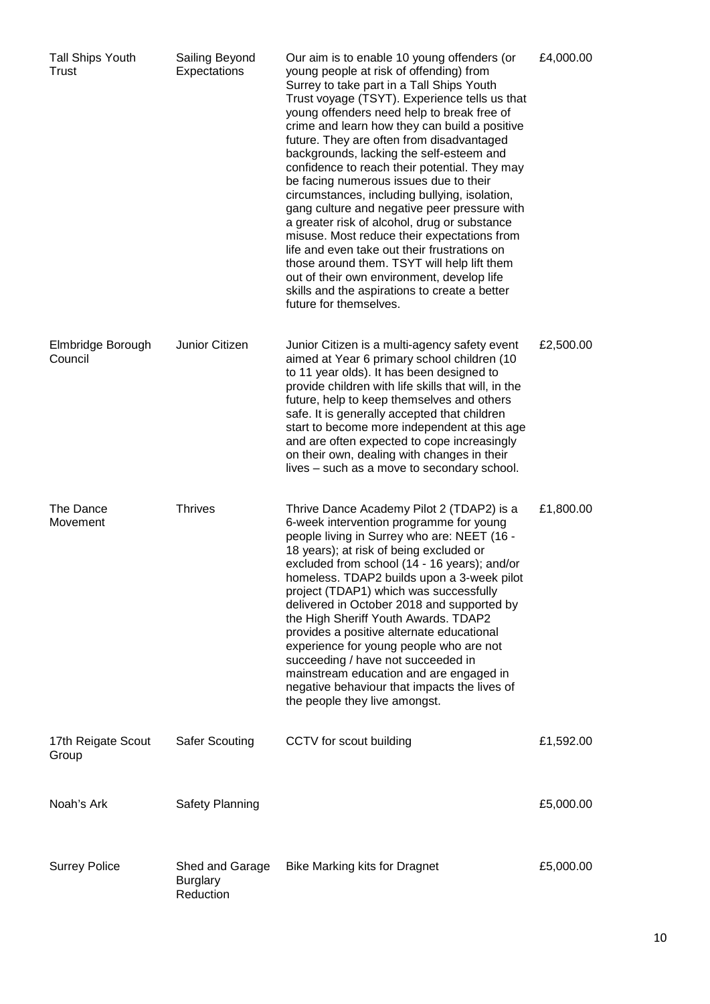| <b>Tall Ships Youth</b><br>Trust | Sailing Beyond<br>Expectations                  | Our aim is to enable 10 young offenders (or<br>young people at risk of offending) from<br>Surrey to take part in a Tall Ships Youth<br>Trust voyage (TSYT). Experience tells us that<br>young offenders need help to break free of<br>crime and learn how they can build a positive<br>future. They are often from disadvantaged<br>backgrounds, lacking the self-esteem and<br>confidence to reach their potential. They may<br>be facing numerous issues due to their<br>circumstances, including bullying, isolation,<br>gang culture and negative peer pressure with<br>a greater risk of alcohol, drug or substance<br>misuse. Most reduce their expectations from<br>life and even take out their frustrations on<br>those around them. TSYT will help lift them<br>out of their own environment, develop life<br>skills and the aspirations to create a better<br>future for themselves. | £4,000.00 |
|----------------------------------|-------------------------------------------------|-------------------------------------------------------------------------------------------------------------------------------------------------------------------------------------------------------------------------------------------------------------------------------------------------------------------------------------------------------------------------------------------------------------------------------------------------------------------------------------------------------------------------------------------------------------------------------------------------------------------------------------------------------------------------------------------------------------------------------------------------------------------------------------------------------------------------------------------------------------------------------------------------|-----------|
| Elmbridge Borough<br>Council     | Junior Citizen                                  | Junior Citizen is a multi-agency safety event<br>aimed at Year 6 primary school children (10<br>to 11 year olds). It has been designed to<br>provide children with life skills that will, in the<br>future, help to keep themselves and others<br>safe. It is generally accepted that children<br>start to become more independent at this age<br>and are often expected to cope increasingly<br>on their own, dealing with changes in their<br>lives – such as a move to secondary school.                                                                                                                                                                                                                                                                                                                                                                                                     | £2,500.00 |
| The Dance<br>Movement            | <b>Thrives</b>                                  | Thrive Dance Academy Pilot 2 (TDAP2) is a<br>6-week intervention programme for young<br>people living in Surrey who are: NEET (16 -<br>18 years); at risk of being excluded or<br>excluded from school (14 - 16 years); and/or<br>homeless. TDAP2 builds upon a 3-week pilot<br>project (TDAP1) which was successfully<br>delivered in October 2018 and supported by<br>the High Sheriff Youth Awards. TDAP2<br>provides a positive alternate educational<br>experience for young people who are not<br>succeeding / have not succeeded in<br>mainstream education and are engaged in<br>negative behaviour that impacts the lives of<br>the people they live amongst.                                                                                                                                                                                                                          | £1,800.00 |
| 17th Reigate Scout<br>Group      | <b>Safer Scouting</b>                           | CCTV for scout building                                                                                                                                                                                                                                                                                                                                                                                                                                                                                                                                                                                                                                                                                                                                                                                                                                                                         | £1,592.00 |
| Noah's Ark                       | <b>Safety Planning</b>                          |                                                                                                                                                                                                                                                                                                                                                                                                                                                                                                                                                                                                                                                                                                                                                                                                                                                                                                 | £5,000.00 |
| <b>Surrey Police</b>             | Shed and Garage<br><b>Burglary</b><br>Reduction | <b>Bike Marking kits for Dragnet</b>                                                                                                                                                                                                                                                                                                                                                                                                                                                                                                                                                                                                                                                                                                                                                                                                                                                            | £5,000.00 |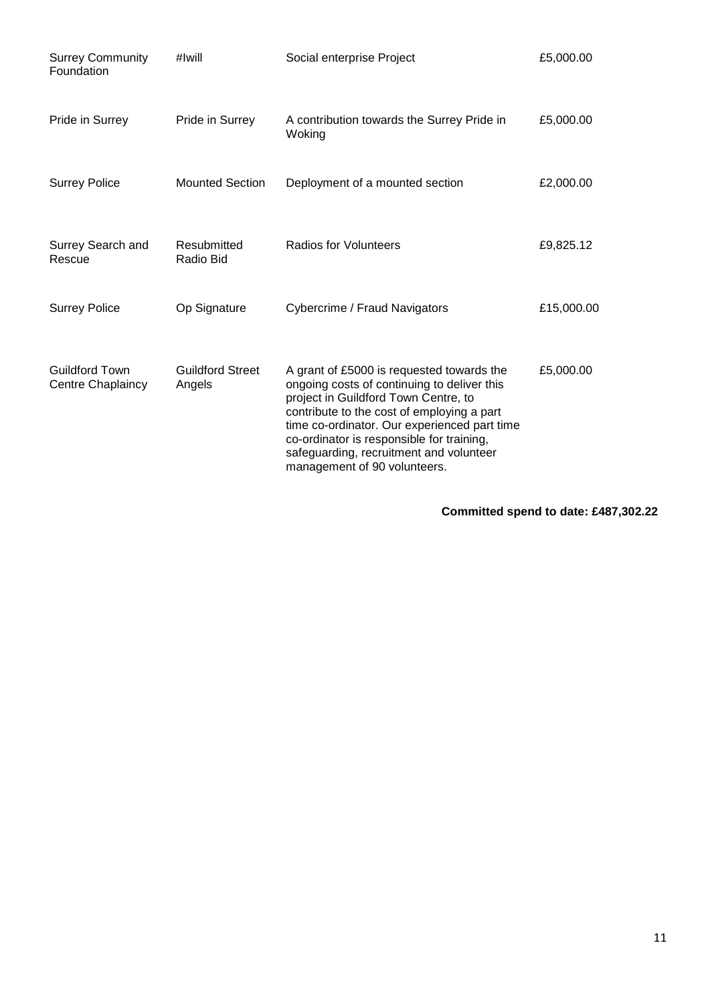| <b>Surrey Community</b><br>Foundation      | #Iwill                            | Social enterprise Project                                                                                                                                                                                                                                                                                                                              | £5,000.00  |
|--------------------------------------------|-----------------------------------|--------------------------------------------------------------------------------------------------------------------------------------------------------------------------------------------------------------------------------------------------------------------------------------------------------------------------------------------------------|------------|
| Pride in Surrey                            | Pride in Surrey                   | A contribution towards the Surrey Pride in<br>Woking                                                                                                                                                                                                                                                                                                   | £5,000.00  |
| <b>Surrey Police</b>                       | <b>Mounted Section</b>            | Deployment of a mounted section                                                                                                                                                                                                                                                                                                                        | £2,000.00  |
| Surrey Search and<br>Rescue                | Resubmitted<br>Radio Bid          | Radios for Volunteers                                                                                                                                                                                                                                                                                                                                  | £9,825.12  |
| <b>Surrey Police</b>                       | Op Signature                      | Cybercrime / Fraud Navigators                                                                                                                                                                                                                                                                                                                          | £15,000.00 |
| <b>Guildford Town</b><br>Centre Chaplaincy | <b>Guildford Street</b><br>Angels | A grant of £5000 is requested towards the<br>ongoing costs of continuing to deliver this<br>project in Guildford Town Centre, to<br>contribute to the cost of employing a part<br>time co-ordinator. Our experienced part time<br>co-ordinator is responsible for training,<br>safeguarding, recruitment and volunteer<br>management of 90 volunteers. | £5,000.00  |

**Committed spend to date: £487,302.22**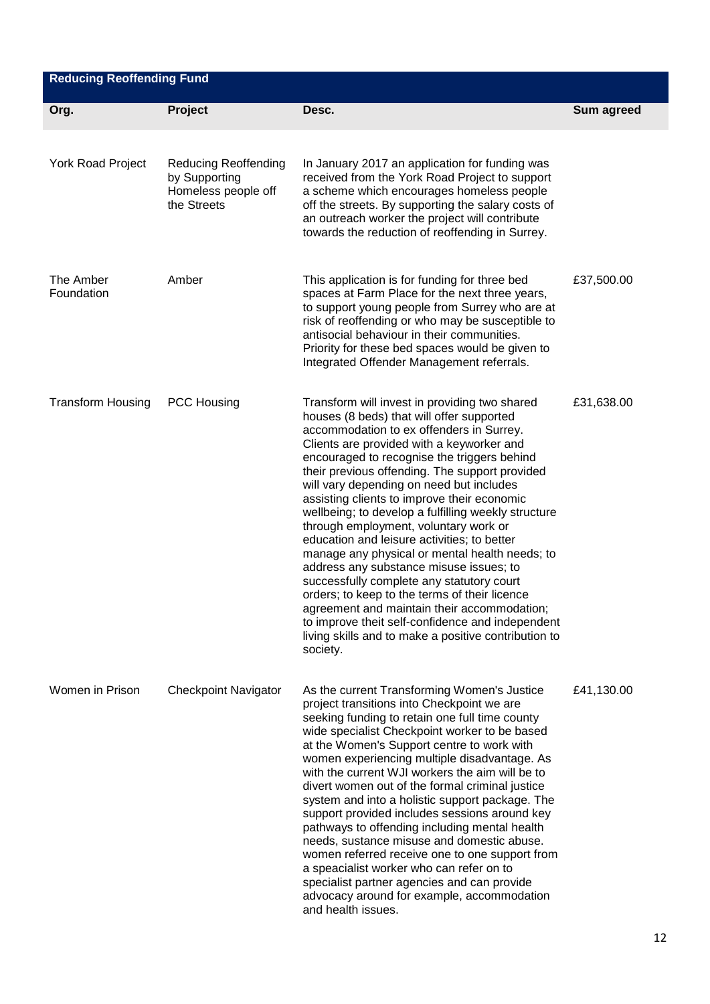| <b>Reducing Reoffending Fund</b> |                                                                                    |                                                                                                                                                                                                                                                                                                                                                                                                                                                                                                                                                                                                                                                                                                                                                                                                                                                                                                  |            |  |
|----------------------------------|------------------------------------------------------------------------------------|--------------------------------------------------------------------------------------------------------------------------------------------------------------------------------------------------------------------------------------------------------------------------------------------------------------------------------------------------------------------------------------------------------------------------------------------------------------------------------------------------------------------------------------------------------------------------------------------------------------------------------------------------------------------------------------------------------------------------------------------------------------------------------------------------------------------------------------------------------------------------------------------------|------------|--|
| Org.                             | Project                                                                            | Desc.                                                                                                                                                                                                                                                                                                                                                                                                                                                                                                                                                                                                                                                                                                                                                                                                                                                                                            | Sum agreed |  |
| York Road Project                | <b>Reducing Reoffending</b><br>by Supporting<br>Homeless people off<br>the Streets | In January 2017 an application for funding was<br>received from the York Road Project to support<br>a scheme which encourages homeless people<br>off the streets. By supporting the salary costs of<br>an outreach worker the project will contribute<br>towards the reduction of reoffending in Surrey.                                                                                                                                                                                                                                                                                                                                                                                                                                                                                                                                                                                         |            |  |
| The Amber<br>Foundation          | Amber                                                                              | This application is for funding for three bed<br>spaces at Farm Place for the next three years,<br>to support young people from Surrey who are at<br>risk of reoffending or who may be susceptible to<br>antisocial behaviour in their communities.<br>Priority for these bed spaces would be given to<br>Integrated Offender Management referrals.                                                                                                                                                                                                                                                                                                                                                                                                                                                                                                                                              | £37,500.00 |  |
| <b>Transform Housing</b>         | <b>PCC Housing</b>                                                                 | Transform will invest in providing two shared<br>houses (8 beds) that will offer supported<br>accommodation to ex offenders in Surrey.<br>Clients are provided with a keyworker and<br>encouraged to recognise the triggers behind<br>their previous offending. The support provided<br>will vary depending on need but includes<br>assisting clients to improve their economic<br>wellbeing; to develop a fulfilling weekly structure<br>through employment, voluntary work or<br>education and leisure activities; to better<br>manage any physical or mental health needs; to<br>address any substance misuse issues; to<br>successfully complete any statutory court<br>orders; to keep to the terms of their licence<br>agreement and maintain their accommodation;<br>to improve theit self-confidence and independent<br>living skills and to make a positive contribution to<br>society. | £31,638.00 |  |
| Women in Prison                  | <b>Checkpoint Navigator</b>                                                        | As the current Transforming Women's Justice<br>project transitions into Checkpoint we are<br>seeking funding to retain one full time county<br>wide specialist Checkpoint worker to be based<br>at the Women's Support centre to work with<br>women experiencing multiple disadvantage. As<br>with the current WJI workers the aim will be to<br>divert women out of the formal criminal justice<br>system and into a holistic support package. The<br>support provided includes sessions around key<br>pathways to offending including mental health<br>needs, sustance misuse and domestic abuse.<br>women referred receive one to one support from<br>a speacialist worker who can refer on to<br>specialist partner agencies and can provide<br>advocacy around for example, accommodation<br>and health issues.                                                                             | £41,130.00 |  |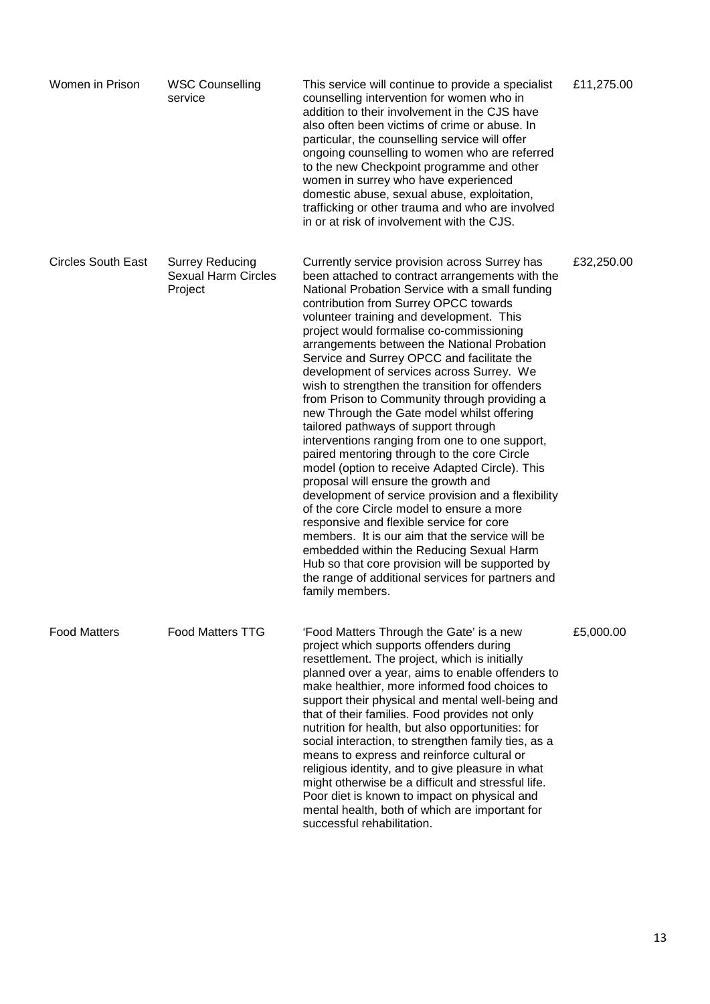| Women in Prison           | <b>WSC Counselling</b><br>service                               | This service will continue to provide a specialist<br>counselling intervention for women who in<br>addition to their involvement in the CJS have<br>also often been victims of crime or abuse. In<br>particular, the counselling service will offer<br>ongoing counselling to women who are referred<br>to the new Checkpoint programme and other<br>women in surrey who have experienced<br>domestic abuse, sexual abuse, exploitation,<br>trafficking or other trauma and who are involved<br>in or at risk of involvement with the CJS.                                                                                                                                                                                                                                                                                                                                                                                                                                                                                                                                                                                                                                                 | £11,275.00 |
|---------------------------|-----------------------------------------------------------------|--------------------------------------------------------------------------------------------------------------------------------------------------------------------------------------------------------------------------------------------------------------------------------------------------------------------------------------------------------------------------------------------------------------------------------------------------------------------------------------------------------------------------------------------------------------------------------------------------------------------------------------------------------------------------------------------------------------------------------------------------------------------------------------------------------------------------------------------------------------------------------------------------------------------------------------------------------------------------------------------------------------------------------------------------------------------------------------------------------------------------------------------------------------------------------------------|------------|
| <b>Circles South East</b> | <b>Surrey Reducing</b><br><b>Sexual Harm Circles</b><br>Project | Currently service provision across Surrey has<br>been attached to contract arrangements with the<br>National Probation Service with a small funding<br>contribution from Surrey OPCC towards<br>volunteer training and development. This<br>project would formalise co-commissioning<br>arrangements between the National Probation<br>Service and Surrey OPCC and facilitate the<br>development of services across Surrey. We<br>wish to strengthen the transition for offenders<br>from Prison to Community through providing a<br>new Through the Gate model whilst offering<br>tailored pathways of support through<br>interventions ranging from one to one support,<br>paired mentoring through to the core Circle<br>model (option to receive Adapted Circle). This<br>proposal will ensure the growth and<br>development of service provision and a flexibility<br>of the core Circle model to ensure a more<br>responsive and flexible service for core<br>members. It is our aim that the service will be<br>embedded within the Reducing Sexual Harm<br>Hub so that core provision will be supported by<br>the range of additional services for partners and<br>family members. | £32,250.00 |
| <b>Food Matters</b>       | <b>Food Matters TTG</b>                                         | 'Food Matters Through the Gate' is a new<br>project which supports offenders during<br>resettlement. The project, which is initially<br>planned over a year, aims to enable offenders to<br>make healthier, more informed food choices to<br>support their physical and mental well-being and<br>that of their families. Food provides not only<br>nutrition for health, but also opportunities: for<br>social interaction, to strengthen family ties, as a<br>means to express and reinforce cultural or<br>religious identity, and to give pleasure in what<br>might otherwise be a difficult and stressful life.<br>Poor diet is known to impact on physical and<br>mental health, both of which are important for<br>successful rehabilitation.                                                                                                                                                                                                                                                                                                                                                                                                                                        | £5,000.00  |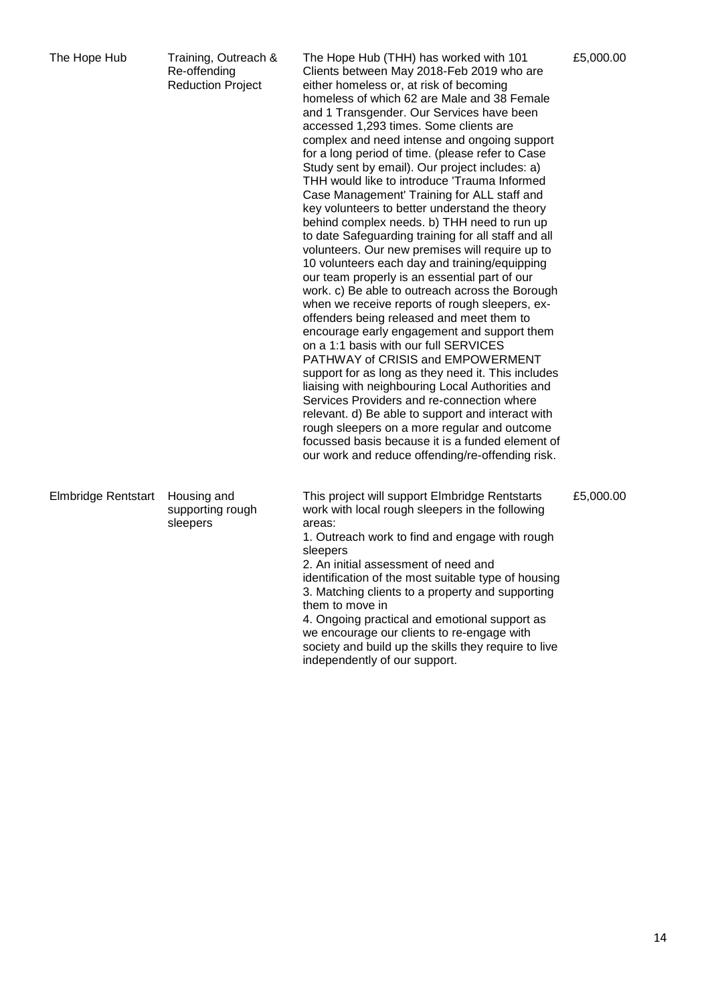| The Hope Hub               | Training, Outreach &<br>Re-offending<br><b>Reduction Project</b> | The Hope Hub (THH) has worked with 101<br>Clients between May 2018-Feb 2019 who are<br>either homeless or, at risk of becoming<br>homeless of which 62 are Male and 38 Female<br>and 1 Transgender. Our Services have been<br>accessed 1,293 times. Some clients are<br>complex and need intense and ongoing support<br>for a long period of time. (please refer to Case<br>Study sent by email). Our project includes: a)<br>THH would like to introduce 'Trauma Informed<br>Case Management' Training for ALL staff and<br>key volunteers to better understand the theory<br>behind complex needs. b) THH need to run up<br>to date Safeguarding training for all staff and all<br>volunteers. Our new premises will require up to<br>10 volunteers each day and training/equipping<br>our team properly is an essential part of our<br>work. c) Be able to outreach across the Borough<br>when we receive reports of rough sleepers, ex-<br>offenders being released and meet them to<br>encourage early engagement and support them<br>on a 1:1 basis with our full SERVICES<br>PATHWAY of CRISIS and EMPOWERMENT<br>support for as long as they need it. This includes<br>liaising with neighbouring Local Authorities and<br>Services Providers and re-connection where<br>relevant. d) Be able to support and interact with<br>rough sleepers on a more regular and outcome<br>focussed basis because it is a funded element of<br>our work and reduce offending/re-offending risk. | £5,000.00 |
|----------------------------|------------------------------------------------------------------|--------------------------------------------------------------------------------------------------------------------------------------------------------------------------------------------------------------------------------------------------------------------------------------------------------------------------------------------------------------------------------------------------------------------------------------------------------------------------------------------------------------------------------------------------------------------------------------------------------------------------------------------------------------------------------------------------------------------------------------------------------------------------------------------------------------------------------------------------------------------------------------------------------------------------------------------------------------------------------------------------------------------------------------------------------------------------------------------------------------------------------------------------------------------------------------------------------------------------------------------------------------------------------------------------------------------------------------------------------------------------------------------------------------------------------------------------------------------------------------------|-----------|
| <b>Elmbridge Rentstart</b> | Housing and<br>supporting rough<br>sleepers                      | This project will support Elmbridge Rentstarts<br>work with local rough sleepers in the following<br>areas:<br>1. Outreach work to find and engage with rough<br>sleepers<br>2. An initial assessment of need and<br>identification of the most suitable type of housing<br>3. Matching clients to a property and supporting<br>them to move in<br>4. Ongoing practical and emotional support as<br>we encourage our clients to re-engage with<br>society and build up the skills they require to live<br>independently of our support.                                                                                                                                                                                                                                                                                                                                                                                                                                                                                                                                                                                                                                                                                                                                                                                                                                                                                                                                                    | £5,000.00 |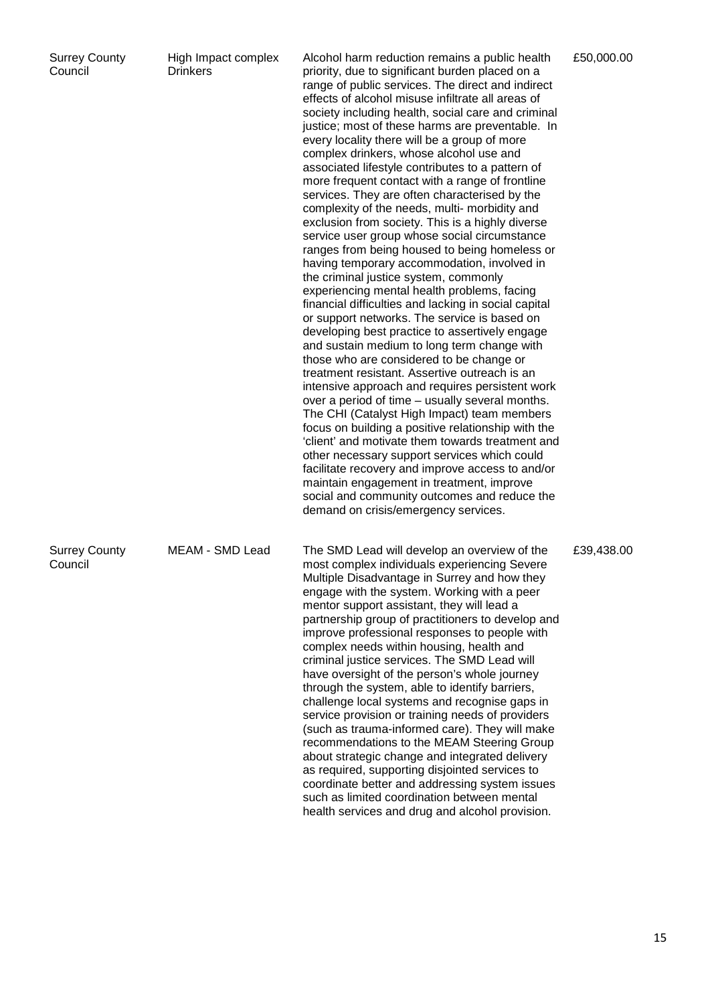| <b>Surrey County</b> |  |
|----------------------|--|
| Council              |  |

High Impact complex Drinkers

Alcohol harm reduction remains a public health priority, due to significant burden placed on a range of public services. The direct and indirect effects of alcohol misuse infiltrate all areas of society including health, social care and criminal justice; most of these harms are preventable. In every locality there will be a group of more complex drinkers, whose alcohol use and associated lifestyle contributes to a pattern of more frequent contact with a range of frontline services. They are often characterised by the complexity of the needs, multi- morbidity and exclusion from society. This is a highly diverse service user group whose social circumstance ranges from being housed to being homeless or having temporary accommodation, involved in the criminal justice system, commonly experiencing mental health problems, facing financial difficulties and lacking in social capital or support networks. The service is based on developing best practice to assertively engage and sustain medium to long term change with those who are considered to be change or treatment resistant. Assertive outreach is an intensive approach and requires persistent work over a period of time – usually several months. The CHI (Catalyst High Impact) team members focus on building a positive relationship with the 'client' and motivate them towards treatment and other necessary support services which could facilitate recovery and improve access to and/or maintain engagement in treatment, improve social and community outcomes and reduce the demand on crisis/emergency services.

MEAM - SMD Lead The SMD Lead will develop an overview of the most complex individuals experiencing Severe Multiple Disadvantage in Surrey and how they engage with the system. Working with a peer mentor support assistant, they will lead a partnership group of practitioners to develop and improve professional responses to people with complex needs within housing, health and criminal justice services. The SMD Lead will have oversight of the person's whole journey through the system, able to identify barriers, challenge local systems and recognise gaps in service provision or training needs of providers (such as trauma-informed care). They will make recommendations to the MEAM Steering Group about strategic change and integrated delivery as required, supporting disjointed services to coordinate better and addressing system issues such as limited coordination between mental health services and drug and alcohol provision.

£50,000.00

£39,438.00

Surrey County Council